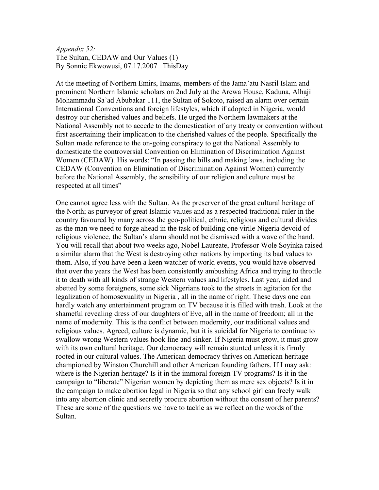## *Appendix 52:* The Sultan, CEDAW and Our Values (1) By Sonnie Ekwowusi, 07.17.2007 ThisDay

At the meeting of Northern Emirs, Imams, members of the Jama'atu Nasril Islam and prominent Northern Islamic scholars on 2nd July at the Arewa House, Kaduna, Alhaji Mohammadu Sa'ad Abubakar 111, the Sultan of Sokoto, raised an alarm over certain International Conventions and foreign lifestyles, which if adopted in Nigeria, would destroy our cherished values and beliefs. He urged the Northern lawmakers at the National Assembly not to accede to the domestication of any treaty or convention without first ascertaining their implication to the cherished values of the people. Specifically the Sultan made reference to the on-going conspiracy to get the National Assembly to domesticate the controversial Convention on Elimination of Discrimination Against Women (CEDAW). His words: "In passing the bills and making laws, including the CEDAW (Convention on Elimination of Discrimination Against Women) currently before the National Assembly, the sensibility of our religion and culture must be respected at all times"

One cannot agree less with the Sultan. As the preserver of the great cultural heritage of the North; as purveyor of great Islamic values and as a respected traditional ruler in the country favoured by many across the geo-political, ethnic, religious and cultural divides as the man we need to forge ahead in the task of building one virile Nigeria devoid of religious violence, the Sultan's alarm should not be dismissed with a wave of the hand. You will recall that about two weeks ago, Nobel Laureate, Professor Wole Soyinka raised a similar alarm that the West is destroying other nations by importing its bad values to them. Also, if you have been a keen watcher of world events, you would have observed that over the years the West has been consistently ambushing Africa and trying to throttle it to death with all kinds of strange Western values and lifestyles. Last year, aided and abetted by some foreigners, some sick Nigerians took to the streets in agitation for the legalization of homosexuality in Nigeria , all in the name of right. These days one can hardly watch any entertainment program on TV because it is filled with trash. Look at the shameful revealing dress of our daughters of Eve, all in the name of freedom; all in the name of modernity. This is the conflict between modernity, our traditional values and religious values. Agreed, culture is dynamic, but it is suicidal for Nigeria to continue to swallow wrong Western values hook line and sinker. If Nigeria must grow, it must grow with its own cultural heritage. Our democracy will remain stunted unless it is firmly rooted in our cultural values. The American democracy thrives on American heritage championed by Winston Churchill and other American founding fathers. If I may ask: where is the Nigerian heritage? Is it in the immoral foreign TV programs? Is it in the campaign to "liberate" Nigerian women by depicting them as mere sex objects? Is it in the campaign to make abortion legal in Nigeria so that any school girl can freely walk into any abortion clinic and secretly procure abortion without the consent of her parents? These are some of the questions we have to tackle as we reflect on the words of the Sultan.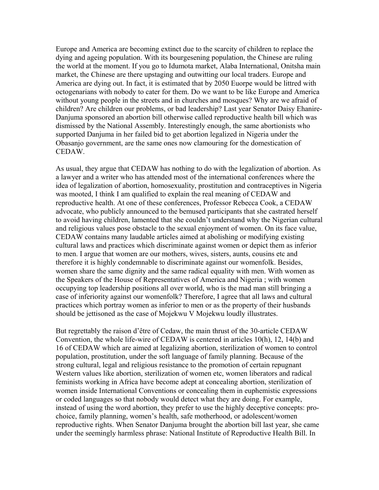Europe and America are becoming extinct due to the scarcity of children to replace the dying and ageing population. With its bourgesening population, the Chinese are ruling the world at the moment. If you go to Idumota market, Alaba International, Onitsha main market, the Chinese are there upstaging and outwitting our local traders. Europe and America are dying out. In fact, it is estimated that by 2050 Euorpe would be littred with octogenarians with nobody to cater for them. Do we want to be like Europe and America without young people in the streets and in churches and mosques? Why are we afraid of children? Are children our problems, or bad leadership? Last year Senator Daisy Ehanire-Danjuma sponsored an abortion bill otherwise called reproductive health bill which was dismissed by the National Assembly. Interestingly enough, the same abortionists who supported Danjuma in her failed bid to get abortion legalized in Nigeria under the Obasanjo government, are the same ones now clamouring for the domestication of CEDAW.

As usual, they argue that CEDAW has nothing to do with the legalization of abortion. As a lawyer and a writer who has attended most of the international conferences where the idea of legalization of abortion, homosexuality, prostitution and contraceptives in Nigeria was mooted, I think I am qualified to explain the real meaning of CEDAW and reproductive health. At one of these conferences, Professor Rebecca Cook, a CEDAW advocate, who publicly announced to the bemused participants that she castrated herself to avoid having children, lamented that she couldn't understand why the Nigerian cultural and religious values pose obstacle to the sexual enjoyment of women. On its face value, CEDAW contains many laudable articles aimed at abolishing or modifying existing cultural laws and practices which discriminate against women or depict them as inferior to men. I argue that women are our mothers, wives, sisters, aunts, cousins etc and therefore it is highly condemnable to discriminate against our womenfolk. Besides, women share the same dignity and the same radical equality with men. With women as the Speakers of the House of Representatives of America and Nigeria ; with women occupying top leadership positions all over world, who is the mad man still bringing a case of inferiority against our womenfolk? Therefore, I agree that all laws and cultural practices which portray women as inferior to men or as the property of their husbands should be jettisoned as the case of Mojekwu V Mojekwu loudly illustrates.

But regrettably the raison d'être of Cedaw, the main thrust of the 30-article CEDAW Convention, the whole life-wire of CEDAW is centered in articles 10(h), 12, 14(b) and 16 of CEDAW which are aimed at legalizing abortion, sterilization of women to control population, prostitution, under the soft language of family planning. Because of the strong cultural, legal and religious resistance to the promotion of certain repugnant Western values like abortion, sterilization of women etc, women liberators and radical feminists working in Africa have become adept at concealing abortion, sterilization of women inside International Conventions or concealing them in euphemistic expressions or coded languages so that nobody would detect what they are doing. For example, instead of using the word abortion, they prefer to use the highly deceptive concepts: prochoice, family planning, women's health, safe motherhood, or adolescent/women reproductive rights. When Senator Danjuma brought the abortion bill last year, she came under the seemingly harmless phrase: National Institute of Reproductive Health Bill. In